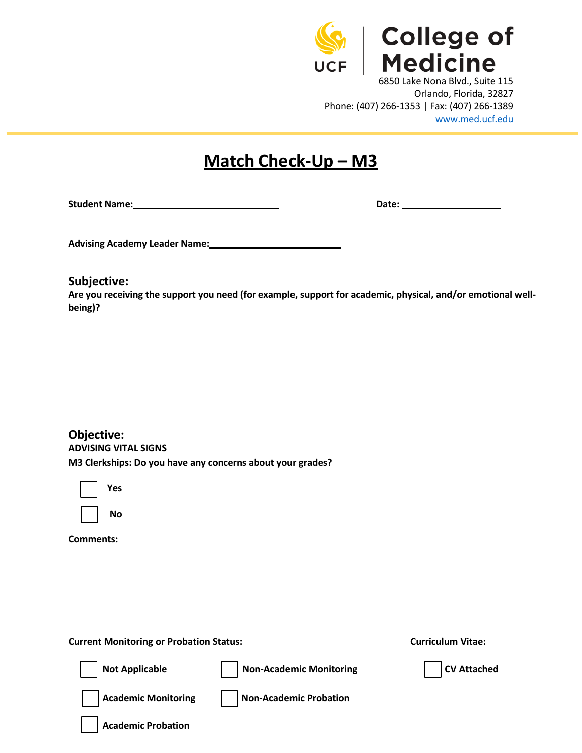

## **Match Check-Up – M3**

**Student Name: Date:** 

**Advising Academy Leader Name: \_\_\_\_\_\_\_\_\_\_\_**

**Subjective:**

**Are you receiving the support you need (for example, support for academic, physical, and/or emotional wellbeing)?**

**Objective: ADVISING VITAL SIGNS M3 Clerkships: Do you have any concerns about your grades?**

| Yes |
|-----|
|     |

| Nο |
|----|
|----|

**Comments:**

 **Current Monitoring or Probation Status: Curriculum Vitae:**

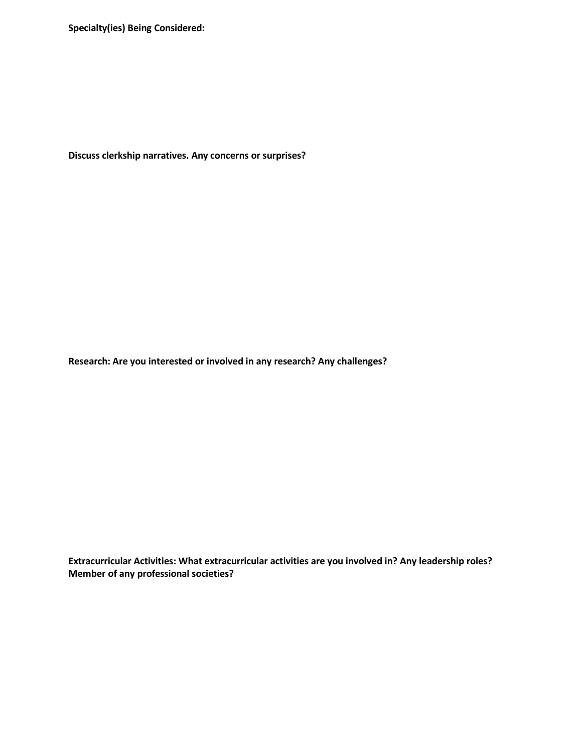**Specialty(ies) Being Considered:**

**Discuss clerkship narratives. Any concerns or surprises?**

**Research: Are you interested or involved in any research? Any challenges?**

**Extracurricular Activities: What extracurricular activities are you involved in? Any leadership roles? Member of any professional societies?**